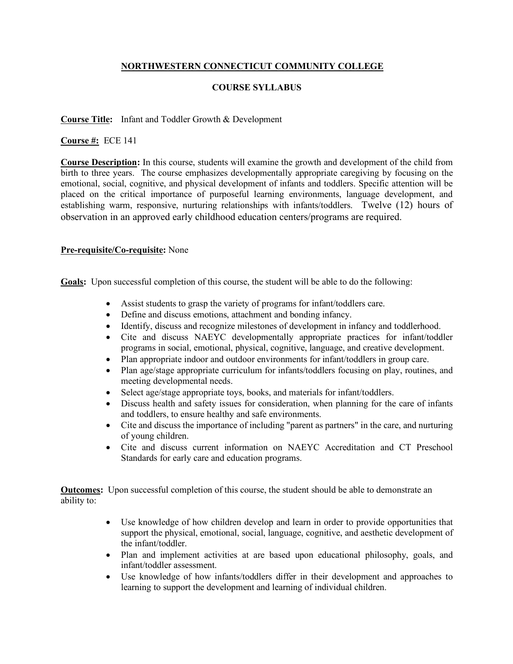## **NORTHWESTERN CONNECTICUT COMMUNITY COLLEGE**

## **COURSE SYLLABUS**

## **Course Title:** Infant and Toddler Growth & Development

**Course #:** ECE 141

**Course Description:** In this course, students will examine the growth and development of the child from birth to three years. The course emphasizes developmentally appropriate caregiving by focusing on the emotional, social, cognitive, and physical development of infants and toddlers. Specific attention will be placed on the critical importance of purposeful learning environments, language development, and establishing warm, responsive, nurturing relationships with infants/toddlers. Twelve (12) hours of observation in an approved early childhood education centers/programs are required.

## **Pre-requisite/Co-requisite:** None

**Goals:** Upon successful completion of this course, the student will be able to do the following:

- Assist students to grasp the variety of programs for infant/toddlers care.
- Define and discuss emotions, attachment and bonding infancy.
- Identify, discuss and recognize milestones of development in infancy and toddlerhood.
- Cite and discuss NAEYC developmentally appropriate practices for infant/toddler programs in social, emotional, physical, cognitive, language, and creative development.
- Plan appropriate indoor and outdoor environments for infant/toddlers in group care.
- Plan age/stage appropriate curriculum for infants/toddlers focusing on play, routines, and meeting developmental needs.
- Select age/stage appropriate toys, books, and materials for infant/toddlers.
- Discuss health and safety issues for consideration, when planning for the care of infants and toddlers, to ensure healthy and safe environments.
- Cite and discuss the importance of including "parent as partners" in the care, and nurturing of young children.
- Cite and discuss current information on NAEYC Accreditation and CT Preschool Standards for early care and education programs.

**Outcomes:** Upon successful completion of this course, the student should be able to demonstrate an ability to:

- Use knowledge of how children develop and learn in order to provide opportunities that support the physical, emotional, social, language, cognitive, and aesthetic development of the infant/toddler.
- Plan and implement activities at are based upon educational philosophy, goals, and infant/toddler assessment.
- Use knowledge of how infants/toddlers differ in their development and approaches to learning to support the development and learning of individual children.